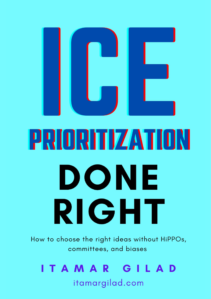

# PRORITZATION DONE RIGHT

How to choose the right ideas without HiPPOs, committees, and biases

## ITAMAR GILAD

itamargilad.com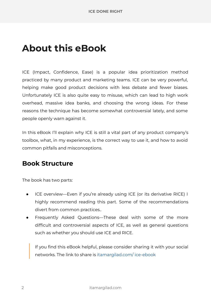## **About this eBook**

ICE (Impact, Confidence, Ease) is a popular idea prioritization method practiced by many product and marketing teams. ICE can be very powerful, helping make good product decisions with less debate and fewer biases. Unfortunately ICE is also quite easy to misuse, which can lead to high work overhead, massive idea banks, and choosing the wrong ideas. For these reasons the technique has become somewhat controversial lately, and some people openly warn against it.

In this eBook I'll explain why ICE is still a vital part of any product company's toolbox, what, in my experience, is the correct way to use it, and how to avoid common pitfalls and misconceptions.

## **Book Structure**

The book has two parts:

- ICE overview—Even if you're already using ICE (or its derivative RICE) I highly recommend reading this part. Some of the recommendations divert from common practices..
- Frequently Asked Questions—These deal with some of the more difficult and controversial aspects of ICE, as well as general questions such as whether you should use ICE and RICE.

If you find this eBook helpful, please consider sharing it with your social networks. The link to share is [itamargilad.com/ ice-ebook](http://itamargilad.com/ice-ebook)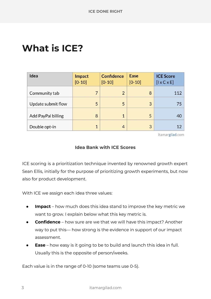## **What is ICE?**

| Idea               | Impact<br>$[0-10]$ | <b>Confidence</b><br>$[0-10]$ | Ease<br>$[0-10]$ | <b>ICE Score</b><br>$[1 \times C \times E]$ |
|--------------------|--------------------|-------------------------------|------------------|---------------------------------------------|
| Community tab      | 7                  | $\overline{2}$                | 8                | 112                                         |
| Update submit flow | 5                  | 5                             | 3                | 75                                          |
| Add PayPal billing | 8                  | $\mathbf{1}$                  | 5                | 40                                          |
| Double opt-in      | 1                  | $\overline{4}$                | 3                | 12                                          |

itamargilad.com

#### **Idea Bank with ICE Scores**

ICE scoring is a prioritization technique invented by renowned growth expert Sean Ellis, initially for the purpose of prioritizing growth experiments, but now also for product development.

With ICE we assign each idea three values:

- **Impact** how much does this idea stand to improve the key metric we want to grow. I explain below what this key metric is.
- **Confidence** how sure are we that we will have this impact? Another way to put this— how strong is the evidence in support of our impact assessment.
- **Ease** how easy is it going to be to build and launch this idea in full. Usually this is the opposite of person/weeks.

Each value is in the range of 0-10 (some teams use 0-5).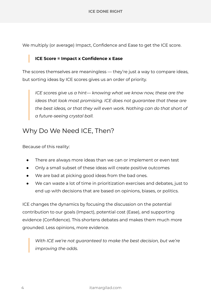We multiply (or average) Impact, Confidence and Ease to get the ICE score.

#### **ICE Score = Impact x Confidence x Ease**

The scores themselves are meaningless — they're just a way to compare ideas, but sorting ideas by ICE scores gives us an order of priority.

*ICE scores give us a hint— knowing what we know now, these are the ideas that look most promising. ICE does not guarantee that these are the best ideas, or that they will even work. Nothing can do that short of a future-seeing crystal ball.*

## Why Do We Need ICE, Then?

Because of this reality:

- There are always more ideas than we can or implement or even test
- Only a small subset of these ideas will create positive outcomes
- We are bad at picking good ideas from the bad ones.
- We can waste a lot of time in prioritization exercises and debates, just to end up with decisions that are based on opinions, biases, or politics.

ICE changes the dynamics by focusing the discussion on the potential contribution to our goals (Impact), potential cost (Ease), and supporting evidence (Confidence). This shortens debates and makes them much more grounded. Less opinions, more evidence.

*With ICE we're not guaranteed to make the best decision, but we're improving the odds.*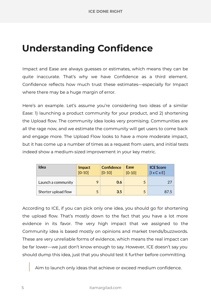## **Understanding Confidence**

Impact and Ease are always guesses or estimates, which means they can be quite inaccurate. That's why we have Confidence as a third element. Confidence reflects how much trust these estimates—especially for Impact where there may be a huge margin of error.

Here's an example. Let's assume you're considering two ideas of a similar Ease: 1) launching a product community for your product, and 2) shortening the Upload flow. The community idea looks very promising. Communities are all the rage now, and we estimate the community will get users to come back and engage more. The Upload Flow looks to have a more moderate impact, but it has come up a number of times as a request from users, and initial tests indeed show a medium-sized improvement in your key metric.

| Idea                | Impact<br>$[0-10]$ | <b>Confidence</b><br>$[0-10]$ | Ease<br>$[0-10]$ | <b>ICE Score</b><br>[lxCxE] |
|---------------------|--------------------|-------------------------------|------------------|-----------------------------|
| Launch a community  |                    | 0.6                           |                  | 27                          |
| Shorter upload flow |                    | 3.5                           | 5                | 87.5                        |

According to ICE, if you can pick only one idea, you should go for shortening the upload flow. That's mostly down to the fact that you have a lot more evidence in its favor. The very high impact that we assigned to the Community idea is based mostly on opinions and market trends/buzzwords. These are very unreliable forms of evidence, which means the real impact can be far lower—we just don't know enough to say. However, ICE doesn't say you should dump this idea, just that you should test it further before committing.

Aim to launch only ideas that achieve or exceed medium confidence.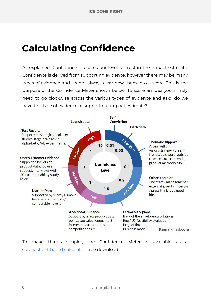## **Calculating Confidence**

As explained, Confidence indicates our level of trust in the impact estimate. Confidence is derived from supporting evidence, however there may be many types of evidence and it's not always clear how them into a score. This is the purpose of the Confidence Meter shown below. To score an idea you simply need to go clockwise across the various types of evidence and ask: "do we have this type of evidence in support our impact estimate?"



To make things simpler, the Confidence Meter is available as a [spreadsheet-based calculator](https://itamargilad.com/resources/confidence-meter-calculator/) (free download).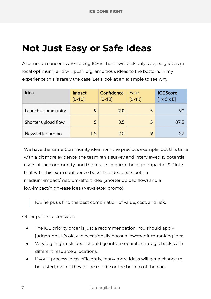## **Not Just Easy or Safe Ideas**

A common concern when using ICE is that it will pick only safe, easy ideas (a local optimum) and will push big, ambitious ideas to the bottom. In my experience this is rarely the case. Let's look at an example to see why:

| Idea                | Impact<br>$[0 - 10]$ | <b>Confidence</b><br>$[0-10]$ | Ease<br>$[0-10]$ | <b>ICE Score</b><br>$[1 \times C \times E]$ |
|---------------------|----------------------|-------------------------------|------------------|---------------------------------------------|
| Launch a community  | $\mathsf Q$          | 2.0                           | 5                | 90                                          |
| Shorter upload flow | 5                    | 3.5                           | 5                | 87.5                                        |
| Newsletter promo    | 1.5                  | 2.0                           | 9                | 27                                          |

We have the same Community idea from the previous example, but this time with a bit more evidence: the team ran a survey and interviewed 15 potential users of the community, and the results confirm the high impact of 9. Note that with this extra confidence boost the idea beats both a medium-impact/medium-effort idea (Shorter upload flow) and a low-impact/high-ease idea (Newsletter promo).

ICE helps us find the best combination of value, cost, and risk.

Other points to consider:

- The ICE priority order is just a recommendation. You should apply judgement. It's okay to occasionally boost a low/medium-ranking idea.
- Very big, high-risk ideas should go into a separate strategic track, with different resource allocations.
- If you'll process ideas efficiently, many more ideas will get a chance to be tested, even if they in the middle or the bottom of the pack.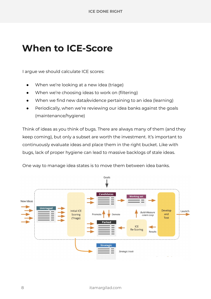## **When to ICE-Score**

I argue we should calculate ICE scores:

- When we're looking at a new idea (triage)
- When we're choosing ideas to work on (filtering)
- When we find new data/evidence pertaining to an idea (learning)
- Periodically, when we're reviewing our idea banks against the goals (maintenance/hygiene)

Think of ideas as you think of bugs. There are always many of them (and they keep coming), but only a subset are worth the investment. It's important to continuously evaluate ideas and place them in the right bucket. Like with bugs, lack of proper hygiene can lead to massive backlogs of stale ideas.



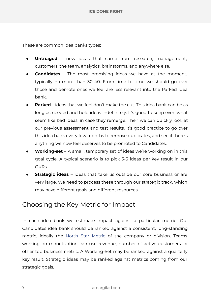These are common idea banks types:

- **Untriaged** new ideas that came from research, management, customers, the team, analytics, brainstorms, and anywhere else.
- **Candidates** The most promising ideas we have at the moment, typically no more than 30-40. From time to time we should go over those and demote ones we feel are less relevant into the Parked idea bank.
- **Parked** ideas that we feel don't make the cut. This idea bank can be as long as needed and hold ideas indefinitely. It's good to keep even what seem like bad ideas, in case they remerge. Then we can quickly look at our previous assessment and test results. It's good practice to go over this idea bank every few months to remove duplicates, and see if there's anything we now feel deserves to be promoted to Candidates.
- **Working-set** A small, temporary set of ideas we're working on in this goal cycle. A typical scenario is to pick 3-5 ideas per key result in our OKRs.
- **Strategic ideas** ideas that take us outside our core business or are very large. We need to process these through our strategic track, which may have different goals and different resources.

### Choosing the Key Metric for Impact

In each idea bank we estimate impact against a particular metric. Our Candidates idea bank should be ranked against a consistent, long-standing metric, ideally the [North Star Metric](https://itamargilad.com/the-three-true-north-metrics-that-your-product-and-business-need/) of the company or division. Teams working on monetization can use revenue, number of active customers, or other top business metric. A Working-Set may be ranked against a quarterly key result. Strategic ideas may be ranked against metrics coming from our strategic goals.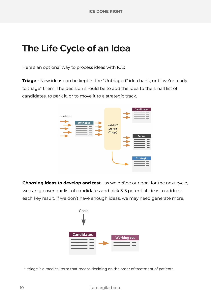## **The Life Cycle of an Idea**

Here's an optional way to process ideas with ICE:

**Triage -** New ideas can be kept in the "Untriaged" idea bank, until we're ready to triage\* them. The decision should be to add the idea to the small list of candidates, to park it, or to move it to a strategic track.



**Choosing ideas to develop and test** - as we define our goal for the next cycle, we can go over our list of candidates and pick 3-5 potential ideas to address each key result. If we don't have enough ideas, we may need generate more.



\* triage is a medical term that means deciding on the order of treatment of patients.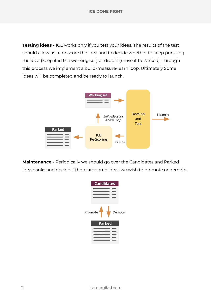#### **ICE DONE RIGHT**

**Testing ideas -** ICE works only if you test your ideas. The results of the test should allow us to re-score the idea and to decide whether to keep pursuing the idea (keep it in the working set) or drop it (move it to Parked). Through this process we implement a build-measure-learn loop. Ultimately Some ideas will be completed and be ready to launch.



**Maintenance -** Periodically we should go over the Candidates and Parked idea banks and decide if there are some ideas we wish to promote or demote.

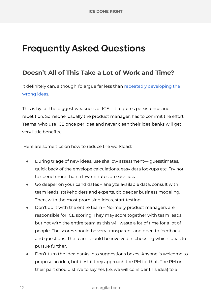## **Frequently Asked Questions**

## **Doesn't All of This Take a Lot of Work and Time?**

It definitely can, although I'd argue far less than [repeatedly developing the](https://itamargilad.com/velocity-vs-impact/) [wrong ideas](https://itamargilad.com/velocity-vs-impact/).

This is by far the biggest weakness of ICE—it requires persistence and repetition. Someone, usually the product manager, has to commit the effort. Teams who use ICE once per idea and never clean their idea banks will get very little benefits.

Here are some tips on how to reduce the workload:

- During triage of new ideas, use shallow assessment— guesstimates, quick back of the envelope calculations, easy data lookups etc. Try not to spend more than a few minutes on each idea.
- Go deeper on your candidates analyze available data, consult with team leads, stakeholders and experts, do deeper business modeling. Then, with the most promising ideas, start [testing](https://itamargilad.com/idea-validation-much-more-than-just-a-b-experiments/).
- Don't do it with the entire team Normally product managers are responsible for ICE scoring. They may score together with team leads, but not with the entire team as this will waste a lot of time for a lot of people. The scores should be very transparent and open to feedback and questions. The team should be involved in choosing which ideas to pursue further.
- Don't turn the Idea banks into suggestions boxes. Anyone is welcome to propose an idea, but best if they approach the PM for that. The PM on their part should strive to say Yes (i.e. we will consider this idea) to all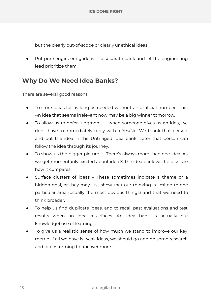but the clearly out-of-scope or clearly unethical ideas.

Put pure engineering ideas in a separate bank and let the engineering lead prioritize them.

#### **Why Do We Need Idea Banks?**

There are several good reasons.

- To store ideas for as long as needed without an artificial number limit. An idea that seems irrelevant now may be a big winner tomorrow.
- To allow us to defer judgment  $-$  when someone gives us an idea, we don't have to immediately reply with a Yes/No. We thank that person and put the idea in the Untriaged idea bank. Later that person can follow the idea through its journey.
- To show us the bigger picture There's always more than one idea. As we get momentarily excited about idea X, the idea bank will help us see how it compares.
- Surface clusters of ideas These sometimes indicate a theme or a hidden goal, or they may just show that our thinking is limited to one particular area (usually the most obvious things) and that we need to think broader.
- To help us find duplicate ideas, and to recall past evaluations and test results when an idea resurfaces. An idea bank is actually our knowledgebase of learning.
- To give us a realistic sense of how much we stand to improve our key metric. If all we have is weak ideas, we should go and do some research and brainstorming to uncover more.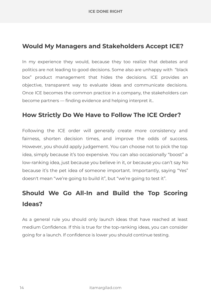### **Would My Managers and Stakeholders Accept ICE?**

In my experience they would, because they too realize that debates and politics are not leading to good decisions. Some also are unhappy with "black box" product management that hides the decisions. ICE provides an objective, transparent way to evaluate ideas and communicate decisions. Once ICE becomes the common practice in a company, the stakeholders can become partners — finding evidence and helping interpret it..

#### **How Strictly Do We Have to Follow The ICE Order?**

Following the ICE order will generally create more consistency and fairness, shorten decision times, and improve the odds of success. However, you should apply judgement. You can choose not to pick the top idea, simply because it's too expensive. You can also occasionally "boost" a low-ranking idea, just because you believe in it, or because you can't say No because it's the pet idea of someone important. Importantly, saying "Yes" doesn't mean "we're going to build it", but "we're going to test it".

## **Should We Go All-In and Build the Top Scoring Ideas?**

As a general rule you should only launch ideas that have reached at least medium Confidence. If this is true for the top-ranking ideas, you can consider going for a launch. If confidence is lower you should continue testing.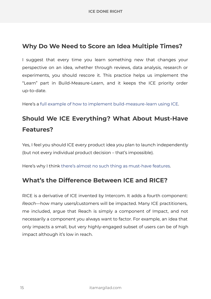### **Why Do We Need to Score an Idea Multiple Times?**

I suggest that every time you learn something new that changes your perspective on an idea, whether through reviews, data analysis, research or experiments, you should rescore it. This practice helps us implement the "Learn" part in Build-Measure-Learn, and it keeps the ICE priority order up-to-date.

Here's a [full example of how to implement build-measure-learn using ICE.](https://itamargilad.com/the-tool-that-will-help-you-choose-better-product-ideas/)

## **Should We ICE Everything? What About Must-Have Features?**

Yes, I feel you should ICE every product idea you plan to launch independently (but not every individual product decision – that's impossible).

Here's why I think [there's almost no such thing as must-have features](https://itamargilad.com/must-have-features/).

### **What's the Difference Between ICE and RICE?**

RICE is a derivative of ICE invented by Intercom. It adds a fourth component: *Reach—*how many users/customers will be impacted. Many ICE practitioners, me included, argue that Reach is simply a component of Impact, and not necessarily a component you always want to factor. For example, an idea that only impacts a small, but very highly-engaged subset of users can be of high impact although it's low in reach.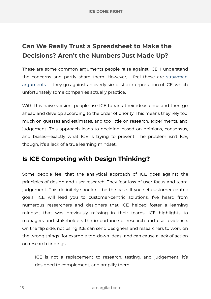## **Can We Really Trust a Spreadsheet to Make the Decisions? Aren't the Numbers Just Made Up?**

These are some common arguments people raise against ICE. I understand the concerns and partly share them. However, I feel these are [strawman](https://en.wikipedia.org/wiki/Straw_man) [arguments](https://en.wikipedia.org/wiki/Straw_man) — they go against an overly-simplistic interpretation of ICE, which unfortunately some companies actually practice.

With this naive version, people use ICE to rank their ideas once and then go ahead and develop according to the order of priority. This means they rely too much on guesses and estimates, and too little on research, experiments, and judgement. This approach leads to deciding based on opinions, consensus, and biases—exactly what ICE is trying to prevent. The problem isn't ICE, though, it's a lack of a true learning mindset.

### **Is ICE Competing with Design Thinking?**

Some people feel that the analytical approach of ICE goes against the principles of design and user research. They fear loss of user-focus and team judgement. This definitely shouldn't be the case. If you set customer-centric goals, ICE will lead you to customer-centric solutions. I've heard from numerous researchers and designers that ICE helped foster a learning mindset that was previously missing in their teams. ICE highlights to managers and stakeholders the importance of research and user evidence. On the flip side, not using ICE can send designers and researchers to work on the wrong things (for example top-down ideas) and can cause a lack of action on research findings.

ICE is not a replacement to research, testing, and judgement; it's designed to complement, and amplify them.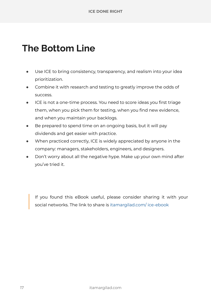## **The Bottom Line**

- Use ICE to bring consistency, transparency, and realism into your idea prioritization.
- Combine it with research and testing to greatly improve the odds of success.
- ICE is not a one-time process. You need to score ideas you first triage them, when you pick them for testing, when you find new evidence, and when you maintain your backlogs.
- Be prepared to spend time on an ongoing basis, but it will pay dividends and get easier with practice.
- When practiced correctly, ICE is widely appreciated by anyone in the company: managers, stakeholders, engineers, and designers.
- Don't worry about all the negative hype. Make up your own mind after you've tried it.

If you found this eBook useful, please consider sharing it with your social networks. The link to share is [itamargilad.com/ ice-ebook](http://itamargilad.com/ice-ebook)